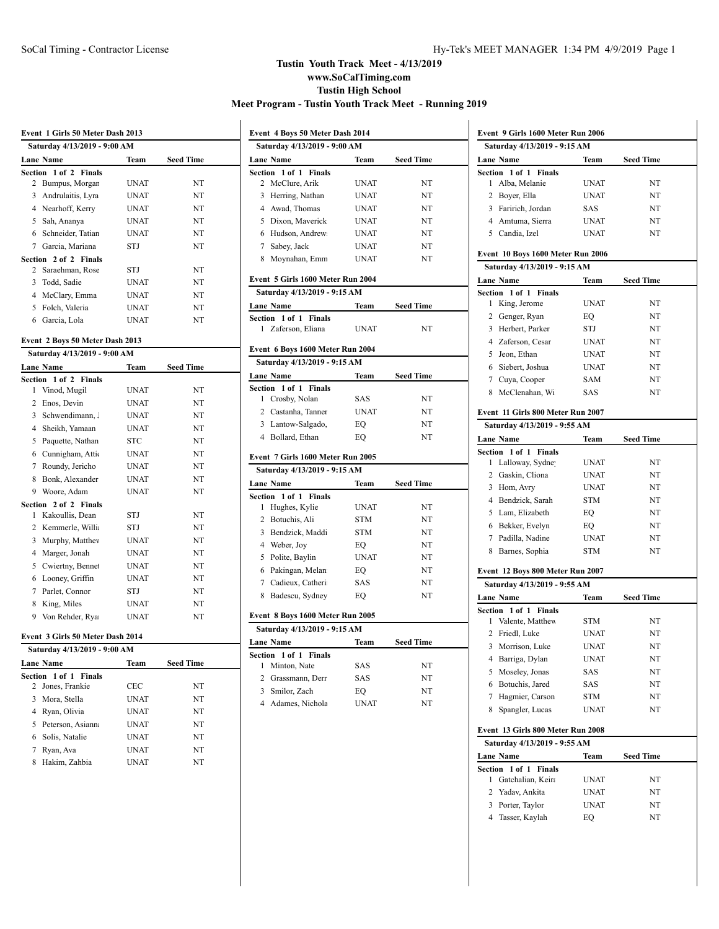|                 | Event 1 Girls 50 Meter Dash 2013 |             |                  |
|-----------------|----------------------------------|-------------|------------------|
|                 | Saturday 4/13/2019 - 9:00 AM     |             |                  |
|                 | <b>Lane Name</b>                 | Team        | <b>Seed Time</b> |
| Section         | 1 of 2 Finals                    |             |                  |
| $\overline{2}$  | Bumpus, Morgar                   | UNAT        | NT               |
|                 | 3 Andrulaitis, Lyra              | UNAT        | NT               |
|                 | 4 Nearhoff, Kerry                | UNAT        | NT               |
| 5               | Sah, Ananya                      | <b>UNAT</b> | NT               |
|                 | 6 Schneider, Tatian              | <b>UNAT</b> | NT               |
|                 | 7 Garcia, Mariana                | STJ         | NT               |
|                 | Section 2 of 2 Finals            |             |                  |
| $\overline{2}$  | Saraehman, Rose                  | STJ         | NT               |
|                 | 3 Todd, Sadie                    | <b>UNAT</b> | NT               |
|                 | 4 McClary, Emma                  | <b>UNAT</b> | NT               |
|                 | 5 Folch, Valeria                 | <b>UNAT</b> | NT               |
|                 | 6 Garcia, Lola                   | <b>UNAT</b> | NT               |
|                 | Event 2 Boys 50 Meter Dash 2013  |             |                  |
|                 | Saturday 4/13/2019 - 9:00 AM     |             |                  |
|                 | <b>Lane Name</b>                 | Team        | <b>Seed Time</b> |
|                 | Section 1 of 2 Finals            |             |                  |
| 1               | Vinod, Mugil                     | UNAT        | NT               |
| $\overline{2}$  | Enos, Devin                      | <b>UNAT</b> | NT               |
| 3               | Schwendimann                     | <b>UNAT</b> | NT               |
| $\overline{4}$  | Sheikh, Yamaan                   | <b>UNAT</b> | NT               |
| 5               | Paquette, Nathan                 | STC         | NT               |
| 6               | Cunnigham, Attic                 | <b>UNAT</b> | NT               |
| $7\overline{ }$ | Roundy, Jericho                  | <b>UNAT</b> | NT               |
| 8               | Bonk, Alexander                  | UNAT        | NT               |
| 9               | Woore, Adam                      | <b>UNAT</b> | NT               |
| Section         | 2 of 2 Finals                    |             |                  |
| 1               | Kakoullis, Dean                  | STJ         | NT               |
| 2               | Kemmerle, Willi                  | STJ         | NT               |
| 3               | Murphy, Matthey                  | UNAT        | NT               |
| $\overline{4}$  | Marger, Jonah                    | UNAT        | NT               |
| 5               | Cwiertny, Bennet                 | <b>UNAT</b> | NT               |
|                 | 6 Looney, Griffin                | UNAT        | NT               |
| 7               | Parlet, Connor                   | STJ         | NT               |
| 8               | King, Miles                      | <b>UNAT</b> | NT               |
|                 | 9 Von Rehder, Rya                | <b>UNAT</b> | NT               |
|                 |                                  |             |                  |

## **Event 3 Girls 50 Meter Dash 2014**

| Saturday 4/13/2019 - 9:00 AM |             |                  |  |
|------------------------------|-------------|------------------|--|
| <b>Lane Name</b>             | Team        | <b>Seed Time</b> |  |
| Section 1 of 1 Finals        |             |                  |  |
| 2 Jones, Frankie             | CEC         | NT               |  |
| 3 Mora, Stella               | <b>UNAT</b> | NT               |  |
| Ryan, Olivia<br>4            | <b>UNAT</b> | NT               |  |
| 5 Peterson, Asianna          | <b>UNAT</b> | NT               |  |
| 6 Solis, Natalie             | <b>UNAT</b> | NT               |  |
| Ryan, Ava                    | UNAT        | NT               |  |
| Hakim, Zahbia<br>8           | UNAT        | NT               |  |
|                              |             |                  |  |

| Event 4 Boys 50 Meter Dash 2014   |             |                  |
|-----------------------------------|-------------|------------------|
| Saturday 4/13/2019 - 9:00 AM      |             |                  |
| <b>Lane Name</b>                  | Team        | <b>Seed Time</b> |
| Section 1 of 1 Finals             |             |                  |
| McClure, Arik<br>2                | UNAT        | NT               |
| 3<br>Herring, Nathan              | <b>UNAT</b> | NT               |
| 4 Awad, Thomas                    | <b>UNAT</b> | NT               |
| Dixon, Maverick<br>5              | <b>UNAT</b> | NT               |
| 6 Hudson, Andrew                  | <b>UNAT</b> | NT               |
| 7 Sabey, Jack                     | <b>UNAT</b> | NT               |
| 8 Moynahan, Emm                   | <b>UNAT</b> | NT               |
| Event 5 Girls 1600 Meter Run 2004 |             |                  |
| Saturday 4/13/2019 - 9:15 AM      |             |                  |
| <b>Lane Name</b>                  | Team        | <b>Seed Time</b> |
| Section 1 of 1 Finals             |             |                  |
| Zaferson, Eliana<br>1.            | <b>UNAT</b> | NT               |
| Event 6 Boys 1600 Meter Run 2004  |             |                  |
| Saturday 4/13/2019 - 9:15 AM      |             |                  |
| Lane Name                         | Team        | <b>Seed Time</b> |
| Section 1 of 1 Finals             |             |                  |
| Crosby, Nolan<br>1                | <b>SAS</b>  | NT               |
| 2 Castanha, Tanner                | <b>UNAT</b> | NT               |
| 3 Lantow-Salgado,                 | EQ          | NT               |
| 4 Bollard, Ethan                  | EO          | NT               |
| Event 7 Girls 1600 Meter Run 2005 |             |                  |
| Saturday 4/13/2019 - 9:15 AM      |             |                  |
| <b>Lane Name</b>                  | Team        | <b>Seed Time</b> |
| 1 of 1 Finals<br>Section          |             |                  |
| Hughes, Kylie<br>1                | <b>UNAT</b> | NT               |
| $\overline{2}$<br>Botuchis, Ali   | <b>STM</b>  | NT               |
| 3<br>Bendzick, Maddi              | <b>STM</b>  | NT               |
| 4 Weber, Joy                      | EO          | NT               |
| 5 Polite, Baylin                  | <b>UNAT</b> | NT               |
| 6<br>Pakingan, Melan              | EO          | NT               |
| 7 Cadieux, Catheri                | <b>SAS</b>  | NT               |
| 8<br>Badescu, Sydney              | EQ          | NT               |
| Event 8 Boys 1600 Meter Run 2005  |             |                  |
| Saturday 4/13/2019 - 9:15 AM      |             |                  |
| Lane Name                         | Team        | <b>Seed Time</b> |
| Section 1 of 1 Finals             |             |                  |
| Minton, Nate<br>1                 | SAS         | NT               |
| $\overline{c}$<br>Grassmann, Derr | <b>SAS</b>  | NT               |

 Smilor, Zach EQ NT 4 Adames, Nichola UNAT NT

|                | Event 9 Girls 1600 Meter Run 2006         |                            |                  |  |
|----------------|-------------------------------------------|----------------------------|------------------|--|
|                | Saturday 4/13/2019 - 9:15 AM              |                            |                  |  |
|                | <b>Lane Name</b>                          | Team                       | <b>Seed Time</b> |  |
|                | Section 1 of 1 Finals                     |                            |                  |  |
| 1              | Alba, Melanie                             | <b>UNAT</b>                | NT               |  |
|                | 2 Boyer, Ella                             | <b>UNAT</b>                | NT               |  |
|                | 3 Faririch, Jordan                        | SAS                        | NT               |  |
|                | 4 Amtuma, Sierra                          | <b>UNAT</b>                | NT               |  |
|                | 5 Candia, Izel                            | <b>UNAT</b>                | NT               |  |
|                | Event 10 Boys 1600 Meter Run 2006         |                            |                  |  |
|                | Saturday 4/13/2019 - 9:15 AM              |                            |                  |  |
|                | <b>Lane Name</b>                          | Team                       | <b>Seed Time</b> |  |
| <b>Section</b> | 1 of 1 Finals                             |                            |                  |  |
| 1              | King, Jerome                              | <b>UNAT</b>                | NT               |  |
| $\overline{2}$ | Genger, Ryan                              | EQ                         | NT               |  |
| 3              | Herbert, Parker                           | STJ                        | NT               |  |
|                | 4 Zaferson, Cesar                         | <b>UNAT</b>                | NT               |  |
|                | 5 Jeon, Ethan<br>Siebert, Joshua          | <b>UNAT</b><br><b>UNAT</b> | NT<br>NT         |  |
| 6              |                                           |                            |                  |  |
|                | 7 Cuya, Cooper                            | <b>SAM</b>                 | NT               |  |
| 8              | McClenahan, Wi                            | <b>SAS</b>                 | NT               |  |
|                | Event 11 Girls 800 Meter Run 2007         |                            |                  |  |
|                | Saturday 4/13/2019 - 9:55 AM              |                            |                  |  |
|                | <b>Lane Name</b>                          | Team                       | <b>Seed Time</b> |  |
|                | Section 1 of 1<br><b>Finals</b>           |                            |                  |  |
| 1              | Lalloway, Sydne                           | <b>UNAT</b>                | NT               |  |
|                | 2 Gaskin, Cliona                          | <b>UNAT</b>                | NT               |  |
|                | 3 Hom, Avry                               | <b>UNAT</b>                | NT               |  |
|                | 4 Bendzick, Sarah                         | <b>STM</b>                 | NT               |  |
|                | 5 Lam, Elizabeth                          | EQ                         | NT               |  |
|                | 6 Bekker, Evelyn                          | EQ                         | NT               |  |
|                | 7 Padilla, Nadine                         | <b>UNAT</b>                | NT               |  |
|                | 8 Barnes, Sophia                          | <b>STM</b>                 | NT               |  |
|                | Event 12 Boys 800 Meter Run 2007          |                            |                  |  |
|                | Saturday 4/13/2019 - 9:55 AM              |                            |                  |  |
|                | <b>Lane Name</b>                          | Team                       | <b>Seed Time</b> |  |
| 1              | Section 1 of 1 Finals<br>Valente, Matthew | STM                        | NT               |  |
|                | 2 Friedl, Luke                            | <b>UNAT</b>                | NT               |  |
|                | 3 Morrison, Luke                          |                            |                  |  |
| 4              | Barriga, Dylan                            | <b>UNAT</b><br>UNAT        | NT<br>NT         |  |
| 5              | Moseley, Jonas                            | SAS                        | NT               |  |
| 6              | Botuchis, Jared                           | SAS                        | NT               |  |
| 7              | Hagmier, Carson                           | <b>STM</b>                 | NT               |  |
| 8              | Spangler, Lucas                           | <b>UNAT</b>                | NT               |  |
|                |                                           |                            |                  |  |
|                | Event 13 Girls 800 Meter Run 2008         |                            |                  |  |
|                | Saturday 4/13/2019 - 9:55 AM              |                            |                  |  |
|                | <b>Lane Name</b><br>Section 1 of 1        | Team                       | <b>Seed Time</b> |  |
| 1              | <b>Finals</b><br>Gatchalian, Keira        | UNAT                       | NT               |  |
| 2              | Yadav, Ankita                             | UNAT                       | NT               |  |
|                | 3 Porter, Taylor                          | <b>UNAT</b>                | NT               |  |
| 4              | Tasser, Kaylah                            | EQ                         | NT               |  |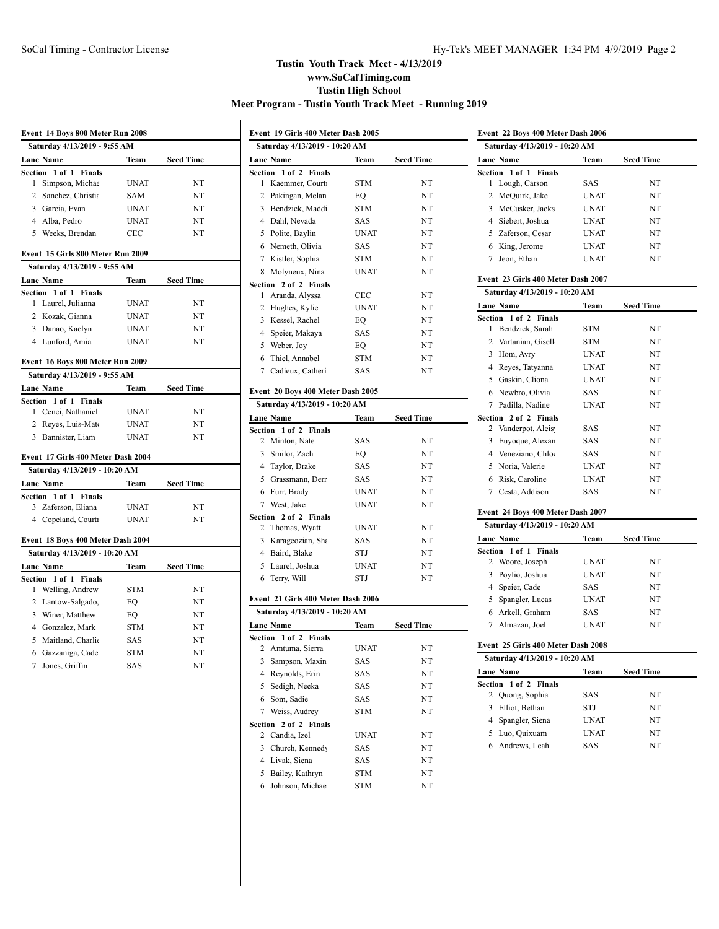$\overline{a}$ 

|                | Event 14 Boys 800 Meter Run 2008   |             |                  |  |
|----------------|------------------------------------|-------------|------------------|--|
|                | Saturday 4/13/2019 - 9:55 AM       |             |                  |  |
|                | <b>Lane Name</b>                   | Team        | <b>Seed Time</b> |  |
|                | Section 1 of 1 Finals              |             |                  |  |
| 1              | Simpson, Michae                    | <b>UNAT</b> | NT               |  |
| $\overline{2}$ | Sanchez, Christia                  | SAM         | NT               |  |
|                | 3 Garcia, Evan                     | <b>UNAT</b> | NT               |  |
|                | 4 Alba. Pedro                      | <b>UNAT</b> | NT               |  |
|                | 5 Weeks, Brendan                   | <b>CEC</b>  | NT               |  |
|                | Event 15 Girls 800 Meter Run 2009  |             |                  |  |
|                | Saturday 4/13/2019 - 9:55 AM       |             |                  |  |
|                | <b>Lane Name</b>                   | Team        | <b>Seed Time</b> |  |
|                | Section 1 of 1 Finals              |             |                  |  |
| 1              | Laurel, Julianna                   | <b>UNAT</b> | NT               |  |
|                | 2 Kozak, Gianna                    | <b>UNAT</b> | NT               |  |
|                | 3 Danao, Kaelyn                    | <b>UNAT</b> | NT               |  |
|                | 4 Lunford, Amia                    | <b>UNAT</b> | NT               |  |
|                | Event 16 Boys 800 Meter Run 2009   |             |                  |  |
|                | Saturday 4/13/2019 - 9:55 AM       |             |                  |  |
|                | <b>Lane Name</b>                   | Team        | <b>Seed Time</b> |  |
|                | Section 1 of 1 Finals              |             |                  |  |
| 1              | Cenci, Nathaniel                   | <b>UNAT</b> | NT               |  |
|                | 2 Reyes, Luis-Mate                 | <b>UNAT</b> | NT               |  |
|                | 3 Bannister, Liam                  | <b>UNAT</b> | NT               |  |
|                | Event 17 Girls 400 Meter Dash 2004 |             |                  |  |
|                | Saturday 4/13/2019 - 10:20 AM      |             |                  |  |
|                | <b>Lane Name</b>                   | Team        | <b>Seed Time</b> |  |
|                | Section 1 of 1 Finals              |             |                  |  |
|                | 3 Zaferson, Eliana                 | <b>UNAT</b> | NT               |  |
|                | 4 Copeland, Courti                 | <b>UNAT</b> | NT               |  |
|                | Event 18 Boys 400 Meter Dash 2004  |             |                  |  |
|                | Saturday 4/13/2019 - 10:20 AM      |             |                  |  |
|                | <b>Lane Name</b>                   | Team        | <b>Seed Time</b> |  |
| Section        | 1 of 1 Finals                      |             |                  |  |
| 1              | Welling, Andrew                    | <b>STM</b>  | NT               |  |
|                | 2 Lantow-Salgado,                  | EO          | NT               |  |
|                | 3 Winer, Matthew                   | EQ          | NT               |  |
|                | 4 Gonzalez, Mark                   | <b>STM</b>  | NT               |  |
|                | 5 Maitland, Charlie                | <b>SAS</b>  | NT               |  |
|                | 6 Gazzaniga, Cade                  | <b>STM</b>  | NT               |  |
| $\overline{7}$ | Jones, Griffin                     | <b>SAS</b>  | NT               |  |
|                |                                    |             |                  |  |

|              | Event 19 Girls 400 Meter Dash 2005        |             |                  |  |
|--------------|-------------------------------------------|-------------|------------------|--|
|              | Saturday 4/13/2019 - 10:20 AM             |             |                  |  |
|              | <b>Lane Name</b>                          | Team        | <b>Seed Time</b> |  |
|              | Section 1 of 2 Finals                     |             |                  |  |
| 1            | Kaemmer, Courti                           | STM         | NT               |  |
|              | 2 Pakingan, Melan                         | EQ          | NT               |  |
|              | 3 Bendzick, Maddi                         | <b>STM</b>  | NT               |  |
|              | 4 Dahl, Nevada                            | SAS         | NT               |  |
|              | 5 Polite, Baylin                          | <b>UNAT</b> | NT               |  |
|              | 6 Nemeth, Olivia                          | <b>SAS</b>  | NT               |  |
|              | 7 Kistler, Sophia                         | <b>STM</b>  | NT               |  |
|              | 8 Molyneux, Nina                          | <b>UNAT</b> | NT               |  |
|              | Section 2 of 2 Finals                     |             |                  |  |
| 1            | Aranda, Alyssa                            | <b>CEC</b>  | NT               |  |
|              | 2 Hughes, Kylie                           | <b>UNAT</b> | NT               |  |
|              | 3 Kessel, Rachel                          | EQ          | NT               |  |
|              | 4 Speier, Makaya                          | <b>SAS</b>  | NT               |  |
|              | 5 Weber, Joy                              | EQ          | NT               |  |
|              | 6 Thiel, Annabel                          | STM         | NT               |  |
|              | 7 Cadieux, Catheri                        | SAS         | NT               |  |
|              | Event 20 Boys 400 Meter Dash 2005         |             |                  |  |
|              | Saturday 4/13/2019 - 10:20 AM             |             |                  |  |
|              | Lane Name                                 | Team        | <b>Seed Time</b> |  |
|              | Section 1 of 2 Finals                     |             |                  |  |
|              | 2 Minton, Nate                            | SAS         | NT               |  |
|              | 3 Smilor, Zach                            | EO          | NT               |  |
|              | 4 Taylor, Drake                           | <b>SAS</b>  | NT               |  |
|              | 5 Grassmann, Derr                         | SAS         | NT               |  |
|              | 6 Furr, Brady                             | <b>UNAT</b> | NT               |  |
|              | 7 West, Jake                              | <b>UNAT</b> | NT               |  |
|              | Section 2 of 2 Finals                     |             |                  |  |
| 2            | Thomas, Wyatt                             | <b>UNAT</b> | NT               |  |
|              | 3 Karageozian, Sha                        | SAS         | NT               |  |
|              | 4 Baird, Blake                            | STJ         | NT               |  |
|              | 5 Laurel, Joshua                          | <b>UNAT</b> | NT               |  |
|              | 6 Terry, Will                             | STJ         | NT               |  |
|              |                                           |             |                  |  |
|              | Event 21 Girls 400 Meter Dash 2006        |             |                  |  |
|              | Saturday 4/13/2019 - 10:20 AM             |             |                  |  |
|              | <b>Lane Name</b>                          | Team        | Seed Time        |  |
|              | Section 1 of 2 Finals<br>2 Amtuma, Sierra | UNAT        | NT               |  |
| 3            | Sampson, Maxin                            | SAS         | NT               |  |
|              | 4 Reynolds, Erin                          | SAS         | NT               |  |
| 5            | Sedigh, Neeka                             | SAS         | NT               |  |
|              |                                           |             |                  |  |
| 6<br>7       | Som, Sadie<br>Weiss, Audrey               | SAS         | NT               |  |
|              | 2 of 2 Finals                             | <b>STM</b>  | NT               |  |
| Section<br>2 | Candia, Izel                              | UNAT        | NT               |  |
| 3            | Church, Kennedy                           | SAS         | NT               |  |
|              | 4 Livak, Siena                            | SAS         | NT               |  |
| 5            | Bailey, Kathryn                           | <b>STM</b>  | NT               |  |
| 6            | Johnson, Michae                           | <b>STM</b>  | NT               |  |
|              |                                           |             |                  |  |

| Event 22 Boys 400 Meter Dash 2006      |             |                  |  |
|----------------------------------------|-------------|------------------|--|
| Saturday 4/13/2019 - 10:20 AM          |             |                  |  |
| Lane Name                              | Team        | <b>Seed Time</b> |  |
| Section 1 of 1 Finals                  |             |                  |  |
| 1<br>Lough, Carson                     | SAS         | NT               |  |
| 2<br>McQuirk, Jake                     | <b>UNAT</b> | NT               |  |
| McCusker, Jacks<br>3                   | <b>UNAT</b> | NT               |  |
| Siebert, Joshua<br>4                   | <b>UNAT</b> | NT               |  |
| 5<br>Zaferson, Cesar                   | <b>UNAT</b> | NT               |  |
| 6<br>King, Jerome                      | <b>UNAT</b> | NT               |  |
| Jeon, Ethan<br>7                       | <b>UNAT</b> | NT               |  |
| Event 23 Girls 400 Meter Dash 2007     |             |                  |  |
| Saturday 4/13/2019 - 10:20 AM          |             |                  |  |
| <b>Lane Name</b>                       | Team        | <b>Seed Time</b> |  |
| 1 of 2 Finals<br>Section               |             |                  |  |
| Bendzick, Sarah<br>1                   | STM         | NT               |  |
| 2<br>Vartanian, Gisell                 | <b>STM</b>  | NT               |  |
| 3<br>Hom, Avry                         | <b>UNAT</b> | NT               |  |
| 4 Reves, Tatyanna                      | <b>UNAT</b> | NT               |  |
| 5<br>Gaskin, Cliona                    | <b>UNAT</b> | NT               |  |
| 6 Newbro, Olivia                       | SAS         | NT               |  |
| 7 Padilla, Nadine                      | <b>UNAT</b> | NT               |  |
| Section<br>2 of 2 Finals               |             |                  |  |
| 2<br>Vanderpot, Aleis                  | SAS         | NT               |  |
| 3<br>Euyoque, Alexan                   | SAS         | NT               |  |
| 4 Veneziano, Chloe                     | SAS         | NT               |  |
| Noria, Valerie<br>5                    | <b>UNAT</b> | NT               |  |
| Risk, Caroline<br>6                    | <b>UNAT</b> | NT               |  |
| 7 Cesta, Addison                       | SAS         | NT               |  |
| Event 24 Boys 400 Meter Dash 2007      |             |                  |  |
| Saturday 4/13/2019 - 10:20 AM          |             |                  |  |
| <b>Lane Name</b>                       | Team        | <b>Seed Time</b> |  |
| Section 1 of 1 Finals                  |             |                  |  |
| 2<br>Woore, Joseph                     | <b>UNAT</b> | NT               |  |
| Poylio, Joshua<br>3                    | <b>UNAT</b> | NT               |  |
| 4 Speier, Cade                         | SAS         | NT               |  |
| 5<br>Spangler, Lucas                   | <b>UNAT</b> | NT               |  |
| 6 Arkell. Graham                       | SAS         | NT               |  |
| 7 Almazan, Joel                        | <b>UNAT</b> | NT               |  |
| Event 25 Girls 400 Meter Dash 2008     |             |                  |  |
| Saturday 4/13/2019 - 10:20 AM          |             |                  |  |
| <b>Lane Name</b>                       | Team        | <b>Seed Time</b> |  |
| $1$ of $2$<br><b>Finals</b><br>Section |             |                  |  |
| Quong, Sophia<br>2                     | SAS         | NT               |  |
| 3<br>Elliot, Bethan                    | STJ         | NT               |  |
| 4<br>Spangler, Siena                   | <b>UNAT</b> | NT               |  |
| 5<br>Luo, Quixuam                      | <b>UNAT</b> | NT               |  |
| Andrews, Leah<br>6                     | <b>SAS</b>  | NT               |  |
|                                        |             |                  |  |
|                                        |             |                  |  |
|                                        |             |                  |  |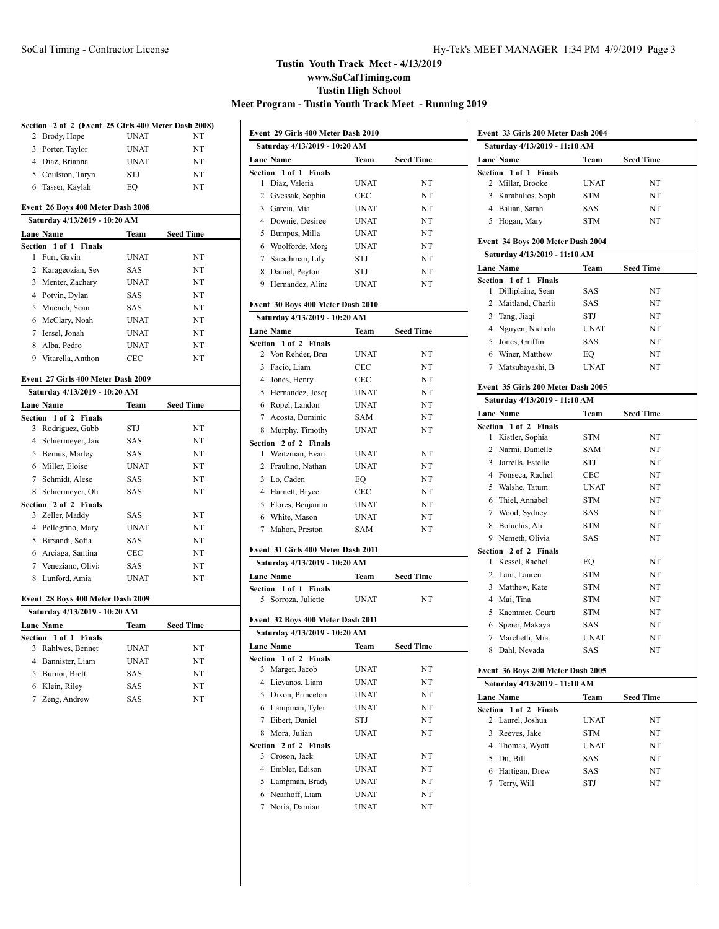|                | Section 2 of 2 (Event 25 Girls 400 Meter Dash 2008) |             |                  |
|----------------|-----------------------------------------------------|-------------|------------------|
| 2              | Brody, Hope                                         | <b>UNAT</b> | NT               |
| 3              | Porter, Taylor                                      | <b>UNAT</b> | NT               |
|                | 4 Diaz, Brianna                                     | <b>UNAT</b> | NT               |
|                | 5 Coulston, Taryn                                   | STJ         | NT               |
|                | 6 Tasser, Kaylah                                    | EO          | NT               |
|                | Event 26 Boys 400 Meter Dash 2008                   |             |                  |
|                | Saturday 4/13/2019 - 10:20 AM                       |             |                  |
|                | <b>Lane Name</b>                                    | Team        | <b>Seed Time</b> |
|                | Section 1 of 1 Finals                               |             |                  |
| 1              | Furr, Gavin                                         | <b>UNAT</b> | NT               |
| $\overline{c}$ | Karageozian, Sev                                    | <b>SAS</b>  | NT               |
|                | 3 Menter, Zachary                                   | <b>UNAT</b> | NT               |
| $\overline{4}$ | Potvin, Dylan                                       | SAS         | NT               |
| 5              | Muench, Sean                                        | <b>SAS</b>  | NT               |
| 6              | McClary, Noah                                       | <b>UNAT</b> | NT               |
| $\overline{7}$ | Iersel, Jonah                                       | <b>UNAT</b> | NT               |
|                | 8 Alba, Pedro                                       | <b>UNAT</b> | NT               |
|                | 9 Vitarella, Anthon                                 | <b>CEC</b>  | NT               |
|                | Event 27 Girls 400 Meter Dash 2009                  |             |                  |
|                | Saturday 4/13/2019 - 10:20 AM                       |             |                  |
|                |                                                     |             |                  |
|                | <b>Lane Name</b><br>Section 1 of 2 Finals           | Team        | <b>Seed Time</b> |
| 3              | Rodriguez, Gabb                                     | <b>STJ</b>  | NT               |
| $\overline{4}$ | Schiermeyer, Jaio                                   | SAS         | NT               |
|                |                                                     |             |                  |
|                |                                                     |             |                  |
|                | 5 Bemus, Marley                                     | <b>SAS</b>  | NT               |
|                | 6 Miller, Eloise                                    | <b>UNAT</b> | NT               |
|                | 7 Schmidt, Alese                                    | <b>SAS</b>  | NT               |
|                | 8 Schiermeyer, Oli                                  | <b>SAS</b>  | NT               |
| 3              | Section 2 of 2 Finals<br>Zeller, Maddy              | <b>SAS</b>  | NT               |
|                | 4 Pellegrino, Mary                                  | <b>UNAT</b> | NT               |
|                | 5 Birsandi, Sofia                                   | <b>SAS</b>  | NT               |
| 6              | Arciaga, Santina                                    | CEC         | NT               |
|                |                                                     | <b>SAS</b>  | NT               |
| 8              | 7 Veneziano, Olivia<br>Lunford, Amia                | <b>UNAT</b> | NT               |
|                |                                                     |             |                  |
|                | Event 28 Boys 400 Meter Dash 2009                   |             |                  |
|                | Saturday 4/13/2019 - 10:20 AM                       |             |                  |
|                | Lane Name                                           | Team        | <b>Seed Time</b> |
|                | Section 1 of 1 Finals                               |             |                  |
| 3              | Rahlwes, Bennet                                     | <b>UNAT</b> | NT               |
| $\overline{4}$ | Bannister, Liam                                     | <b>UNAT</b> | NT               |
|                | 5 Burnor, Brett                                     | SAS         | NT               |
|                | 6 Klein, Riley                                      | SAS         | NT               |
|                | 7 Zeng, Andrew                                      | <b>SAS</b>  | NT               |
|                |                                                     |             |                  |

| Event 29 Girls 400 Meter Dash 2010 |             |                  |  |
|------------------------------------|-------------|------------------|--|
| Saturday 4/13/2019 - 10:20 AM      |             |                  |  |
| <b>Lane Name</b>                   | Team        | <b>Seed Time</b> |  |
| Section 1 of 1 Finals              |             |                  |  |
| Diaz, Valeria<br>1                 | UNAT        | NT               |  |
| 2 Gvessak, Sophia                  | CEC         | NT               |  |
| 3 Garcia, Mia                      | UNAT        | NT               |  |
| 4 Downie, Desiree                  | <b>UNAT</b> | NT               |  |
| 5 Bumpus, Milla                    | <b>UNAT</b> | NT               |  |
| 6 Woolforde, Morg                  | UNAT        | NT               |  |
| 7 Sarachman, Lily                  | STJ         | NT               |  |
| 8 Daniel, Peyton                   | STJ         | NT               |  |
| 9 Hernandez, Alina                 | UNAT        | NT               |  |
|                                    |             |                  |  |
| Event 30 Boys 400 Meter Dash 2010  |             |                  |  |
| Saturday 4/13/2019 - 10:20 AM      |             |                  |  |
| Lane Name                          | Team        | <b>Seed Time</b> |  |
| Section 1 of 2 Finals              |             |                  |  |
| 2 Von Rehder, Brei                 | <b>UNAT</b> | NT               |  |
| 3 Facio, Liam                      | <b>CEC</b>  | NT               |  |
| 4 Jones, Henry                     | CEC         | NT               |  |
| 5 Hernandez, Josep                 | <b>UNAT</b> | NT               |  |
| 6 Ropel, Landon                    | <b>UNAT</b> | NT               |  |
| 7 Acosta, Dominic                  | SAM         | NT               |  |
| 8 Murphy, Timothy                  | UNAT        | NT               |  |
| Section 2 of 2 Finals              |             |                  |  |
| Weitzman, Evan<br>1                | <b>UNAT</b> | NT               |  |
| 2 Fraulino, Nathan                 | <b>UNAT</b> | NT               |  |
| 3 Lo, Caden                        | EQ          | NT               |  |
| 4 Harnett, Bryce                   | CEC         | NT               |  |
| 5 Flores, Benjamin                 | <b>UNAT</b> | NT               |  |
| 6 White, Mason                     | <b>UNAT</b> | NT               |  |
| 7 Mahon, Preston                   | SAM         | NT               |  |
| Event 31 Girls 400 Meter Dash 2011 |             |                  |  |
| Saturday 4/13/2019 - 10:20 AM      |             |                  |  |
| Lane Name                          | Team        | Seed Time        |  |
| Section 1 of 1 Finals              |             |                  |  |
| Sorroza, Juliette<br>5             | <b>UNAT</b> | NT               |  |
|                                    |             |                  |  |
| Event 32 Boys 400 Meter Dash 2011  |             |                  |  |
| Saturday 4/13/2019 - 10:20 AM      |             |                  |  |
| Lane Name                          | Team        | <b>Seed Time</b> |  |
| Section 1 of 2 Finals              |             |                  |  |
| Marger, Jacob<br>3                 | UNAT        | NT               |  |
| 4<br>Lievanos, Liam                | UNAT        | NT               |  |
| 5<br>Dixon, Princeton              | UNAT        | NT               |  |
| 6<br>Lampman, Tyler                | UNAT        | NT               |  |
| 7<br>Eibert, Daniel                | STJ         | NT               |  |
| 8<br>Mora, Julian                  | UNAT        | NT               |  |
| Section<br>2 of 2 Finals           |             |                  |  |
| 3<br>Croson, Jack                  | UNAT        | NT               |  |
| 4<br>Embler, Edison                | UNAT        | NT               |  |
| 5<br>Lampman, Brady                | <b>UNAT</b> | NT               |  |
| Nearhoff, Liam<br>6                | UNAT        | NT               |  |
| 7<br>Noria, Damian                 | UNAT        | NT               |  |
|                                    |             |                  |  |

| Event 33 Girls 200 Meter Dash 2004<br>Saturday 4/13/2019 - 11:10 AM |                                          |             |                  |
|---------------------------------------------------------------------|------------------------------------------|-------------|------------------|
|                                                                     |                                          |             |                  |
|                                                                     | Lane Name                                | Team        | <b>Seed Time</b> |
|                                                                     | Section 1 of 1 Finals                    |             |                  |
| 2                                                                   | Millar, Brooke                           | <b>UNAT</b> | NT               |
|                                                                     | 3 Karahalios, Soph                       | <b>STM</b>  | NT               |
|                                                                     | 4 Balian, Sarah                          | SAS         | NT               |
|                                                                     | 5 Hogan, Mary                            | <b>STM</b>  | NT               |
|                                                                     | Event 34 Boys 200 Meter Dash 2004        |             |                  |
|                                                                     | Saturday 4/13/2019 - 11:10 AM            |             |                  |
|                                                                     | <b>Lane Name</b>                         | Team        | <b>Seed Time</b> |
|                                                                     | Section 1 of 1 Finals                    |             |                  |
| 1                                                                   | Dilliplaine, Sean                        | SAS         | NΤ               |
| 2                                                                   | Maitland, Charlic                        | SAS         | NT               |
|                                                                     | 3 Tang, Jiaqi                            | STJ         | NT               |
|                                                                     | 4 Nguyen, Nichola                        | <b>UNAT</b> | NT               |
|                                                                     | 5 Jones, Griffin                         | SAS         | NT               |
|                                                                     | 6 Winer, Matthew                         | EQ          | NT               |
|                                                                     | 7 Matsubayashi, B                        | <b>UNAT</b> | NT               |
|                                                                     |                                          |             |                  |
|                                                                     | Event 35 Girls 200 Meter Dash 2005       |             |                  |
|                                                                     | Saturday 4/13/2019 - 11:10 AM            |             |                  |
|                                                                     | <b>Lane Name</b>                         | Team        | <b>Seed Time</b> |
| 1                                                                   | Section 1 of 2 Finals<br>Kistler, Sophia | <b>STM</b>  | NT               |
| 2                                                                   | Narmi, Danielle                          | <b>SAM</b>  | NT               |
|                                                                     | 3 Jarrells, Estelle                      | STJ         | NT               |
|                                                                     | 4 Fonseca, Rachel                        | <b>CEC</b>  | NT               |
| 5                                                                   | Walshe, Tatum                            | <b>UNAT</b> | NT               |
| 6                                                                   | Thiel, Annabel                           | <b>STM</b>  | NT               |
| 7                                                                   | Wood, Sydney                             | SAS         | NT               |
| 8                                                                   | Botuchis, Ali                            | <b>STM</b>  | NT               |
| 9                                                                   | Nemeth, Olivia                           | SAS         | NT               |
|                                                                     | Section 2 of 2 Finals                    |             |                  |
| 1                                                                   | Kessel, Rachel                           | EQ          | NT               |
|                                                                     | 2 Lam, Lauren                            | <b>STM</b>  | NT               |
|                                                                     | 3 Matthew, Kate                          | <b>STM</b>  | NT               |
| 4                                                                   | Mai, Tina                                | <b>STM</b>  | NT               |
| 5                                                                   | Kaemmer, Courti                          | <b>STM</b>  | NT               |
| 6                                                                   | Speier, Makaya                           | SAS         | NT               |
| 7                                                                   | Marchetti, Mia                           | <b>UNAT</b> | NT               |
|                                                                     | 8 Dahl, Nevada                           | SAS         | ΝΊ               |
|                                                                     |                                          |             |                  |
|                                                                     | Event 36 Boys 200 Meter Dash 2005        |             |                  |
|                                                                     | Saturday 4/13/2019 - 11:10 AM            |             |                  |
|                                                                     | <b>Lane Name</b>                         | Team        | <b>Seed Time</b> |
|                                                                     | Section 1 of 2<br><b>Finals</b>          |             |                  |
|                                                                     | 2 Laurel, Joshua                         | UNAT        | NΤ               |
| 3                                                                   | Reeves, Jake                             | <b>STM</b>  | NΤ               |
| 4                                                                   | Thomas, Wyatt                            | <b>UNAT</b> | NT               |
| 5                                                                   | Du, Bill                                 | SAS         | NT               |
|                                                                     | 6 Hartigan, Drew                         | SAS         | NT               |
| 7                                                                   | Terry, Will                              | STJ         | NT               |
|                                                                     |                                          |             |                  |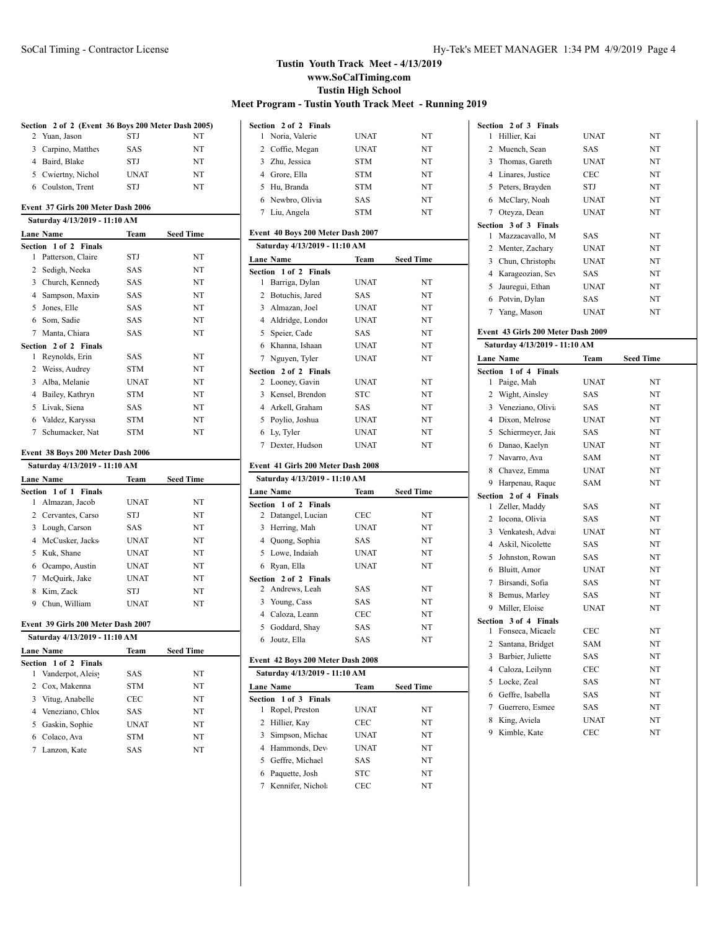|                | Section 2 of 2 (Event 36 Boys 200 Meter Dash 2005) |             |                  |
|----------------|----------------------------------------------------|-------------|------------------|
|                | 2 Yuan, Jason                                      | STJ         | NT               |
|                | 3 Carpino, Matthey                                 | SAS         | NT               |
|                | 4 Baird, Blake                                     | STJ         | NT               |
|                | 5 Cwiertny, Nichol                                 | <b>UNAT</b> | NT               |
|                | 6 Coulston, Trent                                  | STJ         | NT               |
|                | Event 37 Girls 200 Meter Dash 2006                 |             |                  |
|                | Saturday 4/13/2019 - 11:10 AM                      |             |                  |
|                | <b>Lane Name</b>                                   | Team        | <b>Seed Time</b> |
|                | Section 1 of 2 Finals                              |             |                  |
| 1              | Patterson, Claire                                  | STJ         | NT               |
| 2              | Sedigh, Neeka                                      | SAS         | NT               |
|                | 3 Church, Kennedy                                  | SAS         | NT               |
|                | 4 Sampson, Maxin                                   | SAS         | NT               |
|                | 5 Jones, Elle                                      | <b>SAS</b>  | NT               |
|                | 6 Som, Sadie                                       | SAS         | NT               |
|                | 7 Manta, Chiara                                    | <b>SAS</b>  | NT               |
| Section        | 2 of 2 Finals                                      |             |                  |
| 1              | Reynolds, Erin                                     | SAS         | NT               |
|                | 2 Weiss, Audrey                                    | <b>STM</b>  | NT               |
|                | 3 Alba, Melanie                                    | <b>UNAT</b> | NT               |
|                | 4 Bailey, Kathryn                                  | <b>STM</b>  | NT               |
| 5              | Livak, Siena                                       | SAS         | NT               |
|                | 6 Valdez, Karyssa                                  | <b>STM</b>  | NT               |
| 7              | Schumacker, Nat                                    | STM         | NT               |
|                | Event 38 Boys 200 Meter Dash 2006                  |             |                  |
|                | Saturday 4/13/2019 - 11:10 AM                      |             |                  |
|                |                                                    |             |                  |
|                | <b>Lane Name</b>                                   | Team        | <b>Seed Time</b> |
|                | Section 1 of 1 Finals<br>1 Almazan, Jacob          | <b>UNAT</b> | NT               |
|                | 2 Cervantes, Carso                                 | STJ         | NT               |
|                | 3 Lough, Carson                                    | SAS         | NT               |
| $\overline{4}$ | McCusker, Jacks                                    | <b>UNAT</b> | NT               |
|                |                                                    |             |                  |
| 5              | Kuk, Shane                                         | <b>UNAT</b> | NT               |
|                | 6 Ocampo, Austin                                   | <b>UNAT</b> | NT               |
|                | 7 McQuirk, Jake                                    | <b>UNAT</b> | NT               |
| 8              | Kim, Zack                                          | STJ         | NT               |
|                | 9 Chun, William                                    | <b>UNAT</b> | NT               |
|                | Event 39 Girls 200 Meter Dash 2007                 |             |                  |
|                | Saturday 4/13/2019 - 11:10 AM                      |             |                  |
|                | Lane Name                                          | Team        | Seed Time        |
|                | Section 1 of 2<br><b>Finals</b>                    |             |                  |
| 1              | Vanderpot, Aleisy                                  | SAS         | NT               |
| 2              | Cox, Makenna                                       | <b>STM</b>  | NT               |
| 3              | Vitug, Anabelle                                    | CEC         | NT               |
| 4              | Veneziano, Chloe                                   | SAS         | NT               |
| 5              |                                                    |             |                  |
|                | Gaskin, Sophie                                     | <b>UNAT</b> | NT               |

Lanzon, Kate SAS NT

|                | Section 2 of 2 Finals                                              |             |                  |
|----------------|--------------------------------------------------------------------|-------------|------------------|
| 1              | Noria, Valerie                                                     | UNAT        | NT               |
| 2              | Coffie, Megan                                                      | <b>UNAT</b> | NT               |
|                | 3 Zhu, Jessica                                                     | <b>STM</b>  | NT               |
|                | 4 Grore, Ella                                                      | <b>STM</b>  | NT               |
|                | 5 Hu, Branda                                                       | <b>STM</b>  | NT               |
|                | 6 Newbro, Olivia                                                   | SAS         | NT               |
|                | 7 Liu, Angela                                                      | STM         | NT               |
|                |                                                                    |             |                  |
|                | Event 40 Boys 200 Meter Dash 2007<br>Saturday 4/13/2019 - 11:10 AM |             |                  |
|                | Lane Name                                                          |             | Team Seed Time   |
|                | Section 1 of 2 Finals                                              |             |                  |
| $\mathbf{1}$   | Barriga, Dylan                                                     | <b>UNAT</b> | NT               |
|                | 2 Botuchis, Jared                                                  | <b>SAS</b>  | NT               |
|                | 3 Almazan, Joel                                                    | <b>UNAT</b> | NT               |
|                | 4 Aldridge, Londor                                                 | <b>UNAT</b> | NT               |
|                | 5 Speier, Cade                                                     | <b>SAS</b>  | NT               |
|                | 6 Khanna, Ishaan                                                   | <b>UNAT</b> | NT               |
|                | 7 Nguyen, Tyler                                                    | UNAT        | NT               |
|                | Section 2 of 2 Finals                                              |             |                  |
| 2              | Looney, Gavin                                                      | <b>UNAT</b> | NT               |
| 3              | Kensel, Brendon                                                    | <b>STC</b>  | NT               |
|                | 4 Arkell, Graham                                                   | <b>SAS</b>  | NT               |
|                | 5 Poylio, Joshua                                                   | <b>UNAT</b> | NT               |
|                | 6 Ly, Tyler                                                        | <b>UNAT</b> | NT               |
|                |                                                                    | <b>UNAT</b> | NT               |
|                |                                                                    |             |                  |
|                | 7 Dexter, Hudson                                                   |             |                  |
|                | Event 41 Girls 200 Meter Dash 2008                                 |             |                  |
|                | Saturday 4/13/2019 - 11:10 AM                                      |             |                  |
|                | <b>Lane Name</b>                                                   | <b>Team</b> | <b>Seed Time</b> |
| Section        | 1 of 2 Finals                                                      |             |                  |
|                | 2 Datangel, Lucian                                                 | <b>CEC</b>  | NT               |
| 3              | Herring, Mah                                                       | <b>UNAT</b> | NT               |
|                | 4 Quong, Sophia                                                    | <b>SAS</b>  | NT               |
|                | 5 Lowe, Indaiah                                                    | <b>UNAT</b> | NT               |
|                | 6 Ryan, Ella                                                       | <b>UNAT</b> | NT               |
|                | Section 2 of 2 Finals                                              |             |                  |
|                | 2 Andrews, Leah                                                    | <b>SAS</b>  | NT               |
|                | 3 Young, Cass                                                      | SAS         | NT               |
|                | 4 Caloza, Leann                                                    | <b>CEC</b>  | NT               |
|                | 5 Goddard, Shay                                                    | SAS         | NT               |
| 6              | Joutz, Ella                                                        | SAS         | NΤ               |
|                | Event 42 Boys 200 Meter Dash 2008                                  |             |                  |
|                | Saturday 4/13/2019 - 11:10 AM                                      |             |                  |
|                | Lane Name                                                          | Team        | <b>Seed Time</b> |
| <b>Section</b> | $1$ of $3$<br><b>Finals</b>                                        |             |                  |
| 1              | Ropel, Preston                                                     | UNAT        | NT               |
| 2              | Hillier, Kay                                                       | CEC         | NT               |
| 3              | Simpson, Michae                                                    | UNAT        | NT               |
| 4              | Hammonds, Dev                                                      | UNAT        | NT               |
| 5<br>6         | Geffre, Michael<br>Paquette, Josh                                  | SAS<br>STC  | NT<br>NT         |

| Section 2 of 3 Finals              |             |                  |
|------------------------------------|-------------|------------------|
| Hillier, Kai<br>1                  | <b>UNAT</b> | NT               |
| 2 Muench, Sean                     | SAS         | NT               |
| 3 Thomas, Gareth                   | <b>UNAT</b> | NT               |
| 4 Linares, Justice                 | <b>CEC</b>  | NT               |
| 5 Peters, Brayden                  | STJ         | NT               |
| 6 McClary, Noah                    | <b>UNAT</b> | NT               |
| 7 Oteyza, Dean                     | <b>UNAT</b> | NT               |
| Section 3 of 3 Finals              |             |                  |
| Mazzacavallo, M<br>1               | SAS         | NT               |
| 2 Menter, Zachary                  | <b>UNAT</b> | NT               |
| 3 Chun, Christophe                 | <b>UNAT</b> | NT               |
| 4 Karageozian, Sev                 | SAS         | NT               |
| 5 Jauregui, Ethan                  | <b>UNAT</b> | NT               |
| 6 Potvin, Dylan                    | SAS         | NT               |
| 7 Yang, Mason                      | <b>UNAT</b> | NT               |
|                                    |             |                  |
| Event 43 Girls 200 Meter Dash 2009 |             |                  |
| Saturday 4/13/2019 - 11:10 AM      |             |                  |
| Lane Name                          | Team        | <b>Seed Time</b> |
| 1 of 4 Finals<br>Section           |             |                  |
| 1<br>Paige, Mah                    | <b>UNAT</b> | NT               |
| 2 Wight, Ainsley                   | <b>SAS</b>  | NT               |
| 3 Veneziano, Olivia                | SAS         | NT               |
| 4 Dixon, Melrose                   | <b>UNAT</b> | NT               |
| 5 Schiermeyer, Jaic                | SAS         | NT               |
| 6 Danao, Kaelyn                    | <b>UNAT</b> | NT               |
| 7 Navarro, Ava                     | SAM         | NT               |
| 8 Chavez, Emma                     | <b>UNAT</b> | NT               |
| 9 Harpenau, Raque                  | <b>SAM</b>  | NT               |
| Section 2 of 4 Finals              |             |                  |
| 1 Zeller, Maddy                    | SAS         | NT               |
| 2 Iocona, Olivia                   | SAS         | NT               |
| 3 Venkatesh, Adva                  | <b>UNAT</b> | NT               |
| 4 Askil, Nicolette                 | <b>SAS</b>  | NT               |
| 5 Johnston, Rowan                  | SAS         | NT               |
| 6 Bluitt, Amor                     | <b>UNAT</b> | NT               |
| 7 Birsandi, Sofia                  | <b>SAS</b>  | NT               |
| Bemus, Marley<br>8                 | <b>SAS</b>  | NT               |
| 9 Miller, Eloise                   | <b>UNAT</b> | NT               |
| Section 3 of 4 Finals              |             |                  |
| Fonseca, Micaela<br>1              | <b>CEC</b>  | NT               |
| 2 Santana, Bridget                 | SAM         | NT               |
| 3<br>Barbier, Juliette             | SAS         | NT               |
| 4<br>Caloza, Leilynn               | CEC         | NT               |
| Locke, Zeal<br>5                   | SAS         | NT               |
| Geffre, Isabella<br>6              | SAS         | NT               |
| Guerrero, Esmee<br>7               | SAS         | NT               |
| 8<br>King, Aviela                  | <b>UNAT</b> | NT               |
| 9<br>Kimble, Kate                  | CEC         | NT               |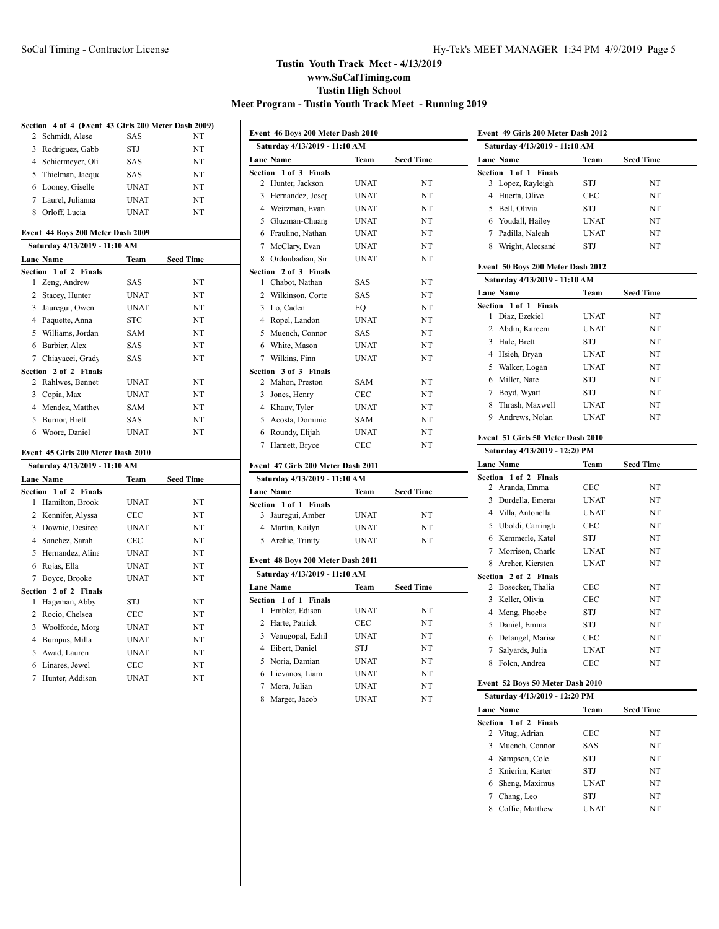# **Section 4 of 4 (Event 43 Girls 200 Meter Dash 2009)**

| 2 Schmidt, Alese     | <b>SAS</b>  | NT |
|----------------------|-------------|----|
| Rodriguez, Gabb<br>3 | <b>STJ</b>  | NT |
| 4 Schiermeyer, Oli   | <b>SAS</b>  | NT |
| 5 Thielman, Jacque   | <b>SAS</b>  | NT |
| 6 Looney, Giselle    | <b>UNAT</b> | NT |
| 7 Laurel, Julianna   | <b>UNAT</b> | NT |
| Orloff, Lucia        | <b>UNAT</b> | NT |

#### **Event 44 Boys 200 Meter Dash 2009 Saturday 4/13/2019 - 11:10 AM**

|   |                       | 5aturuay 4/13/2019 - 11:10 A.M |                  |  |  |  |
|---|-----------------------|--------------------------------|------------------|--|--|--|
|   | Lane Name             | Team                           | <b>Seed Time</b> |  |  |  |
|   | Section 1 of 2 Finals |                                |                  |  |  |  |
| 1 | Zeng, Andrew          | SAS                            | NT               |  |  |  |
| 2 | Stacey, Hunter        | UNAT                           | <b>NT</b>        |  |  |  |
| 3 | Jauregui, Owen        | <b>UNAT</b>                    | NT               |  |  |  |
| 4 | Paquette, Anna        | STC                            | NT               |  |  |  |
|   | 5 Williams, Jordan    | SAM                            | NT               |  |  |  |
| 6 | Barbier, Alex         | SAS                            | NT               |  |  |  |
|   | 7 Chiavacci, Grady    | SAS                            | <b>NT</b>        |  |  |  |
|   | Section 2 of 2 Finals |                                |                  |  |  |  |
|   | 2 Rahlwes, Bennet     | UNAT                           | NT               |  |  |  |
| 3 | Copia, Max            | UNAT                           | NT               |  |  |  |
| 4 | Mendez, Matthey       | SAM                            | NT               |  |  |  |
| 5 | Burnor, Brett         | SAS                            | NT               |  |  |  |
| 6 | Woore, Daniel         | <b>UNAT</b>                    | NT               |  |  |  |
|   |                       |                                |                  |  |  |  |

#### **Event 45 Girls 200 Meter Dash 2010**

|   | Saturday 4/13/2019 - 11:10 AM |             |                  |  |  |
|---|-------------------------------|-------------|------------------|--|--|
|   | <b>Lane Name</b>              | Team        | <b>Seed Time</b> |  |  |
|   | Section 1 of 2 Finals         |             |                  |  |  |
| 1 | Hamilton, Brook               | UNAT        | NT               |  |  |
| 2 | Kennifer, Alyssa              | CEC         | NT               |  |  |
| 3 | Downie, Desiree               | UNAT        | NT               |  |  |
|   | 4 Sanchez, Sarah              | CEC         | <b>NT</b>        |  |  |
| 5 | Hernandez, Alina              | UNAT        | <b>NT</b>        |  |  |
| 6 | Rojas, Ella                   | UNAT        | NT               |  |  |
| 7 | Boyce, Brooke                 | <b>UNAT</b> | <b>NT</b>        |  |  |
|   | Section 2 of 2 Finals         |             |                  |  |  |
| 1 | Hageman, Abby                 | STJ         | NT               |  |  |
| 2 | Rocio, Chelsea                | CEC         | NT               |  |  |
| 3 | Woolforde, Morg               | UNAT        | NT               |  |  |
| 4 | Bumpus, Milla                 | <b>UNAT</b> | <b>NT</b>        |  |  |
| 5 | Awad, Lauren                  | UNAT        | NT               |  |  |
| 6 | Linares, Jewel                | CEC         | NT               |  |  |
| 7 | Hunter, Addison               | UNAT        | NT               |  |  |

|                  | Event 46 Boys 200 Meter Dash 2010  |             |                  |  |
|------------------|------------------------------------|-------------|------------------|--|
|                  | Saturday 4/13/2019 - 11:10 AM      |             |                  |  |
| Lane Name        |                                    | Team        | <b>Seed Time</b> |  |
|                  | Section 1 of 3 Finals              |             |                  |  |
| 2                | Hunter, Jackson                    | <b>UNAT</b> | NT               |  |
|                  | 3 Hernandez, Joser                 | <b>UNAT</b> | NT               |  |
|                  | 4 Weitzman, Evan                   | <b>UNAT</b> | NT               |  |
|                  | 5 Gluzman-Chuan;                   | <b>UNAT</b> | NT               |  |
|                  | 6 Fraulino, Nathan                 | <b>UNAT</b> | NT               |  |
|                  | 7 McClary, Evan                    | <b>UNAT</b> | NT               |  |
|                  | 8 Ordoubadian, Sir                 | <b>UNAT</b> | NT               |  |
|                  | Section 2 of 3 Finals              |             |                  |  |
| 1                | Chabot, Nathan                     | <b>SAS</b>  | NT               |  |
|                  | 2 Wilkinson, Corte                 | SAS         | NT               |  |
|                  | 3 Lo, Caden                        | EQ          | NT               |  |
|                  | 4 Ropel, Landon                    | <b>UNAT</b> | NT               |  |
|                  | 5 Muench, Connor                   | <b>SAS</b>  | NT               |  |
|                  | 6 White, Mason                     | <b>UNAT</b> | NT               |  |
| $7^{\circ}$      | Wilkins, Finn                      | <b>UNAT</b> | NT               |  |
|                  | Section 3 of 3 Finals              |             |                  |  |
|                  | 2 Mahon, Preston                   | SAM         | NT               |  |
|                  | 3 Jones, Henry                     | <b>CEC</b>  | NT               |  |
|                  | 4 Khauv, Tyler                     | <b>UNAT</b> | NT               |  |
|                  | 5 Acosta, Dominic                  | <b>SAM</b>  | NT               |  |
|                  | 6 Roundy, Elijah                   | <b>UNAT</b> | NT               |  |
| $7\overline{ }$  | Harnett, Bryce                     | <b>CEC</b>  | NT               |  |
|                  |                                    |             |                  |  |
|                  | Event 47 Girls 200 Meter Dash 2011 |             |                  |  |
|                  | Saturday 4/13/2019 - 11:10 AM      |             |                  |  |
| <b>Lane Name</b> |                                    | Team        | <b>Seed Time</b> |  |
|                  | Section 1 of 1 Finals              |             |                  |  |
|                  | 3 Jauregui, Amber                  | <b>UNAT</b> | NT               |  |
|                  | 4 Martin, Kailyn                   | <b>UNAT</b> | NT               |  |
|                  | 5 Archie, Trinity                  | <b>UNAT</b> | NT               |  |
|                  | Event 48 Boys 200 Meter Dash 2011  |             |                  |  |
|                  | Saturday 4/13/2019 - 11:10 AM      |             |                  |  |
| <b>Lane Name</b> |                                    | Team        | <b>Seed Time</b> |  |
|                  | Section 1 of 1 Finals              |             |                  |  |
| 1                | Embler, Edison                     | <b>UNAT</b> | NT               |  |
|                  |                                    |             |                  |  |

|   | ction 1 of 1 Finals |             |    |
|---|---------------------|-------------|----|
| 1 | Embler, Edison      | <b>UNAT</b> | NT |
|   | 2 Harte, Patrick    | CEC         | NT |
|   | 3 Venugopal, Ezhil  | <b>UNAT</b> | NT |
|   | 4 Eibert, Daniel    | <b>STJ</b>  | NT |
|   | 5 Noria, Damian     | <b>UNAT</b> | NT |
|   | 6 Lievanos, Liam    | <b>UNAT</b> | NT |
|   | 7 Mora, Julian      | <b>UNAT</b> | NT |

8 Marger, Jacob UNAT NT

| Event 49 Girls 200 Meter Dash 2012 |             |                  |  |  |
|------------------------------------|-------------|------------------|--|--|
| Saturday 4/13/2019 - 11:10 AM      |             |                  |  |  |
| <b>Lane Name</b>                   | Team        | <b>Seed Time</b> |  |  |
| 1 of 1<br>Section<br><b>Finals</b> |             |                  |  |  |
| Lopez, Rayleigh<br>3               | STJ         | NT               |  |  |
| 4<br>Huerta, Olive                 | CEC         | NT               |  |  |
| 5<br>Bell, Olivia                  | STJ         | NT               |  |  |
| 6 Youdall, Hailey                  | <b>UNAT</b> | NT               |  |  |
| 7<br>Padilla, Naleah               | <b>UNAT</b> | NT               |  |  |
| 8<br>Wright, Alecsand              | STJ         | NT               |  |  |
| Event 50 Boys 200 Meter Dash 2012  |             |                  |  |  |
| Saturday 4/13/2019 - 11:10 AM      |             |                  |  |  |
| <b>Lane Name</b>                   | Team        | <b>Seed Time</b> |  |  |
| Section<br>1 of 1 Finals           |             |                  |  |  |
| Diaz, Ezekiel<br>1                 | UNAT        | NT               |  |  |
| 2<br>Abdin, Kareem                 | <b>UNAT</b> | NT               |  |  |
| 3<br>Hale, Brett                   | STJ         | NT               |  |  |
| 4<br>Hsieh, Bryan                  | <b>UNAT</b> | NT               |  |  |
| 5<br>Walker, Logan                 | <b>UNAT</b> | NT               |  |  |
| Miller, Nate<br>6                  | STJ         | NT               |  |  |
| 7<br>Boyd, Wyatt                   | STJ         | NT               |  |  |
| Thrash, Maxwell<br>8               | <b>UNAT</b> | NT               |  |  |
| 9<br>Andrews, Nolan                | <b>UNAT</b> | NT               |  |  |
| Event 51 Girls 50 Meter Dash 2010  |             |                  |  |  |
| Saturday 4/13/2019 - 12:20 PM      |             |                  |  |  |
| <b>Lane Name</b>                   | Team        | <b>Seed Time</b> |  |  |
| 1 of 2 Finals<br>Section           |             |                  |  |  |
| Aranda, Emma<br>2                  | CEC         | NT               |  |  |
| 3<br>Durdella, Emerat              | <b>UNAT</b> | NT               |  |  |
| 4 Villa, Antonella                 | <b>UNAT</b> | NT               |  |  |
| 5<br>Uboldi, Carringto             | CEC         | NT               |  |  |
| 6<br>Kemmerle, Katel               | STJ         | NT               |  |  |
| 7<br>Morrison, Charlo              | <b>UNAT</b> | NT               |  |  |
| Archer, Kiersten<br>8              | <b>UNAT</b> | NT               |  |  |
| 2 of 2 Finals<br>Section           |             |                  |  |  |
| Bosecker, Thalia<br>2              | CEC         | NT               |  |  |
| 3<br>Keller, Olivia                | CEC         | NT               |  |  |
| Meng, Phoebe<br>4                  | STJ         | NT               |  |  |
| 5<br>Daniel, Emma                  | STJ         | NT               |  |  |
| 6<br>Detangel, Marise              | CEC         | NT               |  |  |
| 7<br>Salyards, Julia               | <b>UNAT</b> | NT               |  |  |
| Folcn, Andrea<br>8                 | CEC         | NT               |  |  |
| Event 52 Boys 50 Meter Dash 2010   |             |                  |  |  |
| Saturday 4/13/2019 - 12:20 PM      |             |                  |  |  |
| <b>Lane Name</b>                   | Team        | Seed Time        |  |  |
| Section 1 of 2 Finals              |             |                  |  |  |
| Vitug, Adrian<br>2                 | CEC         | NT               |  |  |
| 3<br>Muench, Connor                |             |                  |  |  |
|                                    | SAS         | NΤ               |  |  |
| 4<br>Sampson, Cole                 | STJ         | NT               |  |  |
| 5<br>Knierim, Karter               | STJ         | NT               |  |  |
| 6<br>Sheng, Maximus                | UNAT        | NT               |  |  |
| 7<br>Chang, Leo                    | STJ         | NT               |  |  |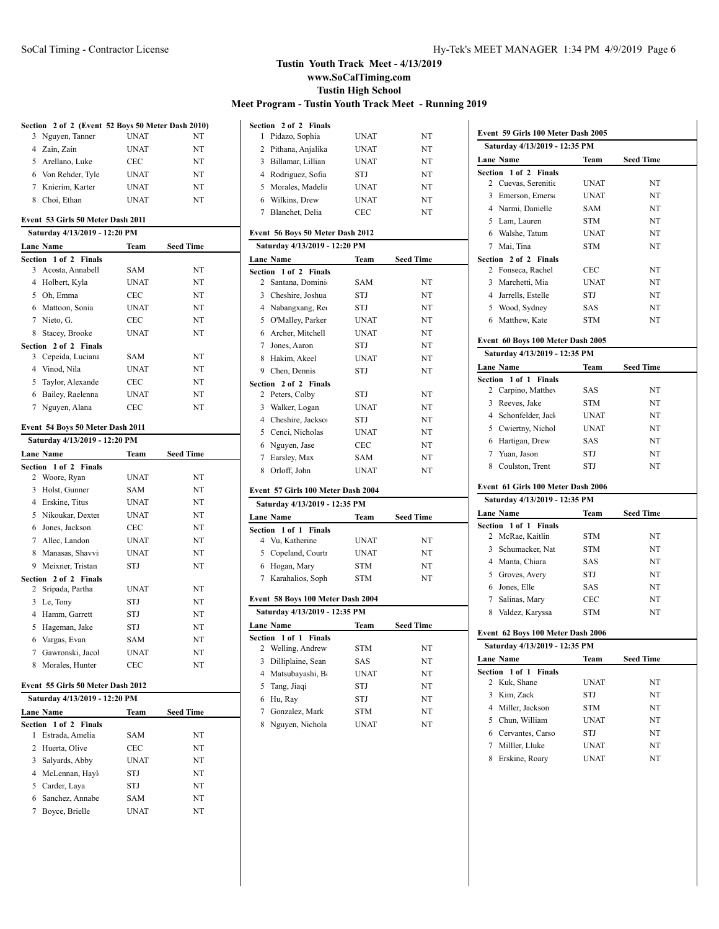|                |                                                   |             |                  | Ŋ |
|----------------|---------------------------------------------------|-------------|------------------|---|
|                | Section 2 of 2 (Event 52 Boys 50 Meter Dash 2010) |             |                  |   |
| 3              | Nguyen, Tanner                                    | <b>UNAT</b> | NT               |   |
|                | 4 Zain, Zain                                      | <b>UNAT</b> | NT               |   |
|                | 5 Arellano, Luke                                  | <b>CEC</b>  | NT               |   |
|                | 6 Von Rehder, Tyle                                | <b>UNAT</b> | NT               |   |
|                | 7 Knierim, Karter                                 | <b>UNAT</b> | NT               |   |
|                | 8 Choi, Ethan                                     | <b>UNAT</b> | NT               |   |
|                |                                                   |             |                  |   |
|                | Event 53 Girls 50 Meter Dash 2011                 |             |                  |   |
|                | Saturday 4/13/2019 - 12:20 PM                     |             |                  |   |
|                | <b>Lane Name</b>                                  | Team        | <b>Seed Time</b> |   |
|                | Section 1 of 2 Finals                             |             |                  |   |
|                | 3 Acosta, Annabell                                | SAM         | NT               |   |
|                | 4 Holbert, Kyla                                   | <b>UNAT</b> | NT               |   |
|                | 5 Oh, Emma                                        | CEC         | NT               |   |
|                | 6 Mattoon, Sonia                                  | UNAT        | NT               |   |
|                | 7 Nieto, G.                                       | CEC         | NT               |   |
|                | 8 Stacey, Brooke                                  | <b>UNAT</b> | NT               |   |
|                | Section 2 of 2 Finals                             |             |                  |   |
| 3              | Cepeida, Luciana                                  | SAM         | NT               |   |
|                | 4 Vinod, Nila                                     | <b>UNAT</b> | NT               |   |
|                | 5 Taylor, Alexande                                | CEC         | NT               |   |
|                | 6 Bailey, Raelenna                                | <b>UNAT</b> | NT               |   |
| 7              | Nguyen, Alana                                     | CEC         | NT               |   |
|                |                                                   |             |                  |   |
|                | Event 54 Boys 50 Meter Dash 2011                  |             |                  |   |
|                | Saturday 4/13/2019 - 12:20 PM                     |             |                  |   |
|                | <b>Lane Name</b>                                  | Team        | <b>Seed Time</b> |   |
|                | Section 1 of 2 Finals                             |             |                  |   |
| 2              | Woore, Ryan                                       | <b>UNAT</b> | NT               |   |
| 3              | Holst, Gunner                                     | SAM         | NT               |   |
|                | 4 Erskine, Titus                                  | <b>UNAT</b> | NT               |   |
|                | 5 Nikoukar, Dexter                                | <b>UNAT</b> | NT               |   |
|                | 6 Jones, Jackson                                  | CEC         | NT               |   |
|                | 7 Allec, Landon                                   | <b>UNAT</b> | NT               |   |
|                | 8 Manasas, Shavvi                                 | UNAT        | NT               |   |
|                | 9 Meixner, Tristan                                | STJ         | NT               |   |
| Section        | 2 of 2 Finals                                     |             |                  |   |
| 2              | Sripada, Partha                                   | <b>UNAT</b> | NT               |   |
|                | 3 Le, Tony                                        | STJ         | NT               |   |
|                | 4 Hamm, Garrett                                   | STJ         | NT               |   |
|                | 5 Hageman, Jake                                   | STJ         | NT               |   |
|                | 6 Vargas, Evan                                    | SAM         | NT               |   |
| 7              | Gawronski, Jacol                                  | UNAT        | NT               |   |
| 8              | Morales, Hunter                                   | CEC         | NT               |   |
|                |                                                   |             |                  |   |
|                | Event 55 Girls 50 Meter Dash 2012                 |             |                  |   |
|                | Saturday 4/13/2019 - 12:20 PM                     |             |                  |   |
| <b>Section</b> | <b>Lane Name</b><br>$1$ of $2$<br>Finals          | Team        | Seed Time        |   |

2 Huerta, Olive CEC NT Salyards, Abby UNAT NT 4 McLennan, Hayl STJ NT Carder, Laya STJ NT 6 Sanchez, Annabe<br>
SAM NT Boyce, Brielle UNAT NT

|                | Section 2 of 2 Finals              |             |                  |
|----------------|------------------------------------|-------------|------------------|
| 1              | Pidazo, Sophia                     | <b>UNAT</b> | NT               |
|                | 2 Pithana, Anjalika                | <b>UNAT</b> | NT               |
|                | 3 Billamar, Lillian                | <b>UNAT</b> | NT               |
|                | 4 Rodriguez, Sofia                 | STJ         | NT               |
|                | 5 Morales, Madelin                 | <b>UNAT</b> | NT               |
|                | 6 Wilkins, Drew                    | <b>UNAT</b> | NT               |
|                | 7 Blanchet, Delia                  | <b>CEC</b>  | NT               |
|                | Event 56 Boys 50 Meter Dash 2012   |             |                  |
|                | Saturday 4/13/2019 - 12:20 PM      |             |                  |
|                | Lane Name                          | Team        | <b>Seed Time</b> |
|                | Section 1 of 2 Finals              |             |                  |
| 2              | Santana, Dominio                   | SAM         | NT               |
|                | 3 Cheshire, Joshua                 | STJ         | NT               |
|                | 4 Nabangxang, Req                  | STJ         | NT               |
|                | 5 O'Malley, Parker                 | <b>UNAT</b> | NT               |
| 6              | Archer, Mitchell                   | <b>UNAT</b> | NT               |
| $\tau$         | Jones, Aaron                       | STJ         | NT               |
|                | 8 Hakim, Akeel                     | <b>UNAT</b> | NT               |
|                | 9 Chen, Dennis                     | STJ         | NT               |
|                | Section 2 of 2 Finals              |             |                  |
|                | 2 Peters, Colby                    | <b>STJ</b>  | NT               |
| $\overline{3}$ | Walker, Logan                      | <b>UNAT</b> | NT               |
|                | 4 Cheshire, Jackson                | STJ         | NT               |
|                | 5 Cenci, Nicholas                  | <b>UNAT</b> | NT               |
|                | 6 Nguyen, Jase                     | CEC         | NT               |
|                | 7 Earsley, Max                     | SAM         | NT               |
|                | 8 Orloff, John                     | <b>UNAT</b> | NT               |
|                | Event 57 Girls 100 Meter Dash 2004 |             |                  |
|                | Saturday 4/13/2019 - 12:35 PM      |             |                  |
|                | <b>Lane Name</b>                   | Team        | <b>Seed Time</b> |
|                | Section 1 of 1 Finals              |             |                  |
|                | 4 Vu, Katherine                    | <b>UNAT</b> | NT               |
|                | 5 Copeland, Courtr                 | <b>UNAT</b> | NT               |
|                | 6 Hogan, Mary                      | STM         | NT               |
|                | 7 Karahalios, Soph                 | STM         | NT               |
|                | Event 58 Boys 100 Meter Dash 2004  |             |                  |
|                | Saturday 4/13/2019 - 12:35 PM      |             |                  |
|                | Lane Name                          | Team        | <b>Seed Time</b> |
|                | Section 1 of 1 Finals              |             |                  |
| $\overline{c}$ | Welling, Andrew                    | <b>STM</b>  | NT               |
|                | 3 Dilliplaine, Sean                | SAS         | NT               |
|                | 4 Matsubayashi, Bo                 | <b>UNAT</b> | NT               |
| 5              | Tang, Jiaqi                        | STJ         | NT               |
|                | 6 Hu, Ray                          | STJ         | NT               |
|                | 7 Gonzalez, Mark                   | <b>STM</b>  | NT               |
|                | 8 Nguyen, Nichola                  | <b>UNAT</b> | NT               |

|              | Saturday 4/13/2019 - 12:35 PM      |             |                  |
|--------------|------------------------------------|-------------|------------------|
|              | Lane Name                          |             | Team Seed Time   |
|              | Section 1 of 2 Finals              |             |                  |
|              | 2 Cuevas, Serenitie                | <b>UNAT</b> | NT               |
|              | 3 Emerson, Emerso                  | <b>UNAT</b> | NT               |
|              | 4 Narmi, Danielle                  | SAM         | NT               |
|              | 5 Lam, Lauren                      | <b>STM</b>  | NT               |
|              | 6 Walshe, Tatum                    | <b>UNAT</b> | NT               |
|              | 7 Mai. Tina                        | <b>STM</b>  | NT               |
|              | Section 2 of 2 Finals              | <b>CEC</b>  |                  |
|              | 2 Fonseca, Rachel                  | <b>UNAT</b> | NT               |
|              | 3 Marchetti, Mia                   |             | NT               |
|              | 4 Jarrells, Estelle                | STJ         | NT               |
|              | 5 Wood, Sydney                     | SAS         | NT               |
|              | 6 Matthew, Kate                    | <b>STM</b>  | NT               |
|              | Event 60 Boys 100 Meter Dash 2005  |             |                  |
|              | Saturday 4/13/2019 - 12:35 PM      |             |                  |
|              | Lane Name                          | Team        | <b>Seed Time</b> |
|              | Section 1 of 1 Finals              |             |                  |
|              | 2 Carpino, Matthey                 | SAS         | NT               |
|              | 3 Reeves, Jake                     | STM         | NT               |
|              | 4 Schonfelder, Jack                | <b>UNAT</b> | NT               |
|              | 5 Cwiertny, Nichol                 | <b>UNAT</b> | NT               |
|              | 6 Hartigan, Drew                   | SAS         | NT               |
|              | 7 Yuan, Jason                      | STJ         | NT               |
|              |                                    |             |                  |
|              | 8 Coulston, Trent                  | STJ         | NT               |
|              | Event 61 Girls 100 Meter Dash 2006 |             |                  |
|              | Saturday 4/13/2019 - 12:35 PM      |             |                  |
|              | Lane Name                          |             | Team Seed Time   |
|              | 1 of 1 Finals<br>Section           |             |                  |
|              | 2 McRae, Kaitlin                   | STM         | NT               |
|              | 3 Schumacker, Nat                  | <b>STM</b>  | NT               |
|              | 4 Manta, Chiara                    | SAS         | NT               |
|              | 5 Groves, Avery                    | STJ         | NT               |
|              | 6 Jones, Elle                      | SAS         | NT               |
|              | 7 Salinas, Mary                    | <b>CEC</b>  | NT               |
|              | 8 Valdez, Karyssa                  | <b>STM</b>  | NT               |
|              | Event 62 Boys 100 Meter Dash 2006  |             |                  |
|              | Saturday 4/13/2019 - 12:35 PM      |             |                  |
|              | <b>Lane Name</b>                   | Team        | Seed Time        |
|              | 1 of 1 Finals                      |             |                  |
| 2            | Kuk, Shane                         | <b>UNAT</b> | NΤ               |
| Section<br>3 | Kim, Zack                          | STJ         | NT               |
|              | 4 Miller, Jackson                  | <b>STM</b>  | NT               |
|              | 5 Chun, William                    | <b>UNAT</b> | NT               |
|              | 6 Cervantes, Carso                 | STJ         | NT               |
|              | 7 Milller, Lluke                   | <b>UNAT</b> | NT               |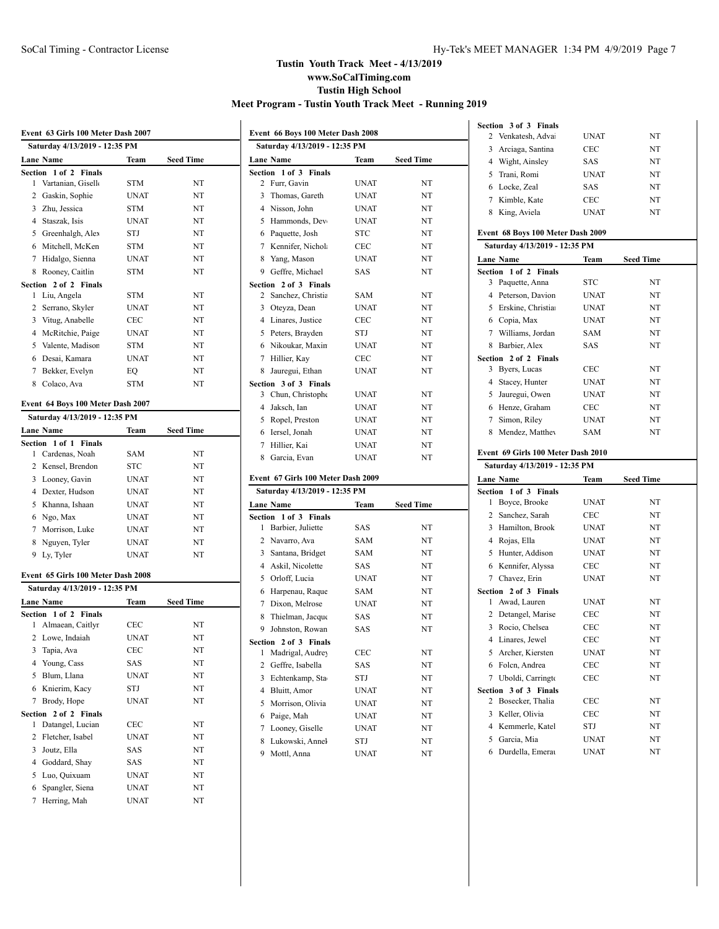|              | Event 63 Girls 100 Meter Dash 2007        |             |                  |
|--------------|-------------------------------------------|-------------|------------------|
|              | Saturday 4/13/2019 - 12:35 PM             |             |                  |
|              | <b>Lane Name</b>                          | Team        | <b>Seed Time</b> |
|              | Section 1 of 2 Finals                     |             |                  |
| 1            | Vartanian, Gisell                         | STM         | NT               |
|              | 2 Gaskin, Sophie                          | UNAT        | NT               |
|              | 3 Zhu, Jessica                            | STM         | NT               |
|              | 4 Staszak, Isis                           | <b>UNAT</b> | NT               |
|              | 5 Greenhalgh, Alex                        | STJ         | NT               |
|              | 6 Mitchell, McKen                         | <b>STM</b>  | NT               |
| 7            | Hidalgo, Sienna                           | <b>UNAT</b> | NT               |
| 8            | Rooney, Caitlin                           | STM         | NT               |
|              | Section 2 of 2 Finals                     |             |                  |
| 1            | Liu, Angela                               | <b>STM</b>  | NT               |
| 2            | Serrano, Skyler                           | <b>UNAT</b> | NT               |
|              | 3 Vitug, Anabelle                         | <b>CEC</b>  | NT               |
|              | 4 McRitchie, Paige                        | <b>UNAT</b> | NT               |
| 5            | Valente, Madisor                          | <b>STM</b>  | NT               |
| 6            | Desai, Kamara                             | <b>UNAT</b> | NT               |
| 7            | Bekker, Evelyn                            | EO          | NT               |
|              | 8 Colaco, Ava                             | <b>STM</b>  | NT               |
|              |                                           |             |                  |
|              | Event 64 Boys 100 Meter Dash 2007         |             |                  |
|              | Saturday 4/13/2019 - 12:35 PM             |             |                  |
|              | <b>Lane Name</b>                          | Team        | <b>Seed Time</b> |
|              | Section 1 of 1 Finals                     |             |                  |
| 1            | Cardenas, Noah                            | SAM         | NT               |
| 2            | Kensel, Brendon                           | STC         | NT               |
| 3            | Looney, Gavin                             | <b>UNAT</b> | NT               |
|              | 4 Dexter, Hudson                          | <b>UNAT</b> | NT               |
|              | 5 Khanna, Ishaan                          | <b>UNAT</b> | NT               |
|              | 6 Ngo, Max                                | <b>UNAT</b> | NT               |
|              | 7 Morrison, Luke                          | <b>UNAT</b> | NT               |
| 8            | Nguyen, Tyler                             | <b>UNAT</b> | NT               |
|              | 9 Ly, Tyler                               | <b>UNAT</b> | NT               |
|              | Event 65 Girls 100 Meter Dash 2008        |             |                  |
|              | Saturday 4/13/2019 - 12:35 PM             |             |                  |
|              |                                           |             |                  |
|              | <b>Lane Name</b>                          | Team        | <b>Seed Time</b> |
| 1            | Section 1 of 2 Finals<br>Almaean, Caitlyr | CEC         | NT               |
| 2            | Lowe, Indaiah                             | <b>UNAT</b> | NT               |
|              | 3 Tapia, Ava                              | CEC         | NT               |
|              | 4 Young, Cass                             |             | NT               |
|              |                                           | SAS         |                  |
| 5            | Blum, Llana<br>Knierim, Kacv              | UNAT        | NT               |
| 6            |                                           | STJ         | NT               |
| 7            | Brody, Hope                               | <b>UNAT</b> | NT               |
| Section<br>1 | 2 of 2 Finals<br>Datangel, Lucian         | CEC         | NT               |
| 2            | Fletcher, Isabel                          | UNAT        | NT               |
| 3            | Joutz, Ella                               |             |                  |
|              |                                           | SAS         | NT               |
| 4            | Goddard, Shay                             | SAS         | NT               |
| 5            | Luo, Quixuam                              | <b>UNAT</b> | NT               |
| 6            | Spangler, Siena                           | UNAT        | NT               |
| 7            | Herring, Mah                              | UNAT        | NT               |

|   | Event 66 Boys 100 Meter Dash 2008          |             |                  |  |
|---|--------------------------------------------|-------------|------------------|--|
|   | Saturday 4/13/2019 - 12:35 PM              |             |                  |  |
|   | Lane Name                                  | Team        | <b>Seed Time</b> |  |
|   | Section 1 of 3 Finals                      |             |                  |  |
| 2 | Furr, Gavin                                | UNAT        | NT               |  |
| 3 | Thomas, Gareth                             | <b>UNAT</b> | NT               |  |
|   | 4 Nisson, John                             | <b>UNAT</b> | NT               |  |
|   | 5 Hammonds, Dev                            | <b>UNAT</b> | NT               |  |
|   | 6 Paquette, Josh                           | <b>STC</b>  | NT               |  |
|   | 7 Kennifer, Nichola                        | <b>CEC</b>  | NT               |  |
|   | 8 Yang, Mason                              | <b>UNAT</b> | NT               |  |
|   | 9 Geffre, Michael                          | SAS         | NT               |  |
|   | Section 2 of 3 Finals                      |             |                  |  |
| 2 | Sanchez, Christia                          | SAM         | NT               |  |
|   | 3 Oteyza, Dean                             | <b>UNAT</b> | NT               |  |
|   | 4 Linares, Justice                         | <b>CEC</b>  | NT               |  |
|   | 5 Peters, Brayden                          | STJ         | NT               |  |
|   | 6 Nikoukar, Maxin                          | <b>UNAT</b> | NT               |  |
|   | 7 Hillier, Kay                             | <b>CEC</b>  | NT               |  |
|   | 8 Jauregui, Ethan                          | UNAT        | NT               |  |
|   | Section 3 of 3 Finals                      |             |                  |  |
| 3 | Chun, Christophe                           | <b>UNAT</b> | NT               |  |
|   | 4 Jaksch, Ian                              | UNAT        | NT               |  |
|   | 5 Ropel, Preston                           | <b>UNAT</b> | NT               |  |
|   | 6 Iersel, Jonah                            | <b>UNAT</b> | NT               |  |
|   | 7 Hillier, Kai                             | <b>UNAT</b> | NT               |  |
|   | 8 Garcia, Evan                             | <b>UNAT</b> | NT               |  |
|   | Event 67 Girls 100 Meter Dash 2009         |             |                  |  |
|   |                                            |             |                  |  |
|   | Saturday 4/13/2019 - 12:35 PM              |             |                  |  |
|   | Lane Name                                  | Team        | <b>Seed Time</b> |  |
| 1 | Section 1 of 3 Finals<br>Barbier, Juliette | SAS         | NT               |  |
|   | 2 Navarro, Ava                             | SAM         | NT               |  |
|   | 3 Santana, Bridget                         | SAM         | NT               |  |
|   | 4 Askil, Nicolette                         | SAS         | NT               |  |
| 5 | Orloff, Lucia                              | <b>UNAT</b> | NT               |  |
|   | 6 Harpenau, Raque                          | SAM         | NT               |  |
|   | 7 Dixon, Melrose                           | <b>UNAT</b> | NT               |  |
| 8 | Thielman, Jacque                           | SAS         | NT               |  |
| 9 | Johnston, Rowan                            | <b>SAS</b>  | NT               |  |
|   | Section 2 of 3 Finals                      |             |                  |  |
| 1 | Madrigal, Audrey                           | <b>CEC</b>  | NT               |  |
| 2 | Geffre, Isabella                           | SAS         | NT               |  |
| 3 | Echtenkamp, Sta                            | STJ         | NT               |  |
| 4 | Bluitt, Amor                               | UNAT        | NT               |  |
| 5 | Morrison, Olivia                           | UNAT        | NT               |  |
| 6 | Paige, Mah                                 | UNAT        | NT               |  |
| 7 | Looney, Giselle                            | UNAT        | NT               |  |
| 8 | Lukowski, Annel                            | STJ         | NT               |  |
| 9 | Mottl, Anna                                | UNAT        | NT               |  |
|   |                                            |             |                  |  |

|                | Section 3 of 3 Finals                 |             |                  |  |  |
|----------------|---------------------------------------|-------------|------------------|--|--|
| 2              | Venkatesh, Adva                       | UNAT        | NT               |  |  |
|                | 3 Arciaga, Santina                    | CEC         | NT               |  |  |
|                | 4 Wight, Ainsley                      | SAS         | NT               |  |  |
| 5              | Trani, Romi                           | <b>UNAT</b> | NT               |  |  |
| 6              | Locke, Zeal                           | <b>SAS</b>  | NT               |  |  |
| $\tau$         | Kimble, Kate                          | CEC         | NT               |  |  |
| 8              | King, Aviela                          | <b>UNAT</b> | NT               |  |  |
|                | Event 68 Boys 100 Meter Dash 2009     |             |                  |  |  |
|                | Saturday 4/13/2019 - 12:35 PM         |             |                  |  |  |
|                | <b>Lane Name</b>                      | Team        | <b>Seed Time</b> |  |  |
|                | Section 1 of 2 Finals                 |             |                  |  |  |
| 3              | Paquette, Anna                        | STC         | NT               |  |  |
|                | 4 Peterson, Davion                    | <b>UNAT</b> | NT               |  |  |
| 5              | Erskine, Christia                     | <b>UNAT</b> | NT               |  |  |
|                | 6 Copia, Max                          | <b>UNAT</b> | NT               |  |  |
|                | 7 Williams, Jordan                    | SAM         | NT               |  |  |
|                | 8 Barbier, Alex                       | SAS         | NT               |  |  |
| Section        | 2 of 2 Finals                         |             |                  |  |  |
| 3              | Byers, Lucas                          | CEC         | NT               |  |  |
| $\overline{4}$ | Stacey, Hunter                        | <b>UNAT</b> | NT               |  |  |
| 5              | Jauregui, Owen                        | <b>UNAT</b> | NT               |  |  |
|                | 6 Henze, Graham                       | <b>CEC</b>  | NT               |  |  |
| 7              | Simon, Riley                          | <b>UNAT</b> | NT               |  |  |
| 8              | Mendez, Matthey                       | SAM         | NT               |  |  |
|                |                                       |             |                  |  |  |
|                |                                       |             |                  |  |  |
|                | Event 69 Girls 100 Meter Dash 2010    |             |                  |  |  |
|                | Saturday 4/13/2019 - 12:35 PM         |             |                  |  |  |
|                | <b>Lane Name</b>                      | Team        | Seed Time        |  |  |
| Section<br>1   | 1 of 3<br><b>Finals</b>               |             |                  |  |  |
| $\overline{2}$ | Boyce, Brooke                         | <b>UNAT</b> | NT               |  |  |
|                | Sanchez, Sarah                        | CEC         | NT               |  |  |
|                | 3 Hamilton, Brook                     | <b>UNAT</b> | NT               |  |  |
|                | 4 Rojas, Ella                         | <b>UNAT</b> | NT               |  |  |
| 5              | Hunter, Addison                       | <b>UNAT</b> | NT               |  |  |
| 6              | Kennifer, Alyssa                      | CEC         | NT               |  |  |
|                | 7 Chavez, Erin                        | <b>UNAT</b> | NT               |  |  |
| 1              | Section 2 of 3 Finals<br>Awad, Lauren | <b>UNAT</b> | NT               |  |  |
| $\overline{2}$ | Detangel, Marise                      | CEC         | NT               |  |  |
|                | 3 Rocio, Chelsea                      | CEC         | NT               |  |  |
|                | 4 Linares, Jewel                      | <b>CEC</b>  | NT               |  |  |
| 5              | Archer, Kiersten                      | UNAT        | NT               |  |  |
| 6              | Folcn, Andrea                         | <b>CEC</b>  | NT               |  |  |
| $\overline{7}$ | Uboldi, Carringto                     | <b>CEC</b>  | NT               |  |  |
| Section        | 3 of 3 Finals                         |             |                  |  |  |
| 2              | Bosecker, Thalia                      | CEC         | NT               |  |  |
| 3              | Keller, Olivia                        | CEC         | NT               |  |  |
| 4              | Kemmerle, Katel                       | STJ         | NT               |  |  |
| 5              | Garcia, Mia                           | UNAT        | NT               |  |  |